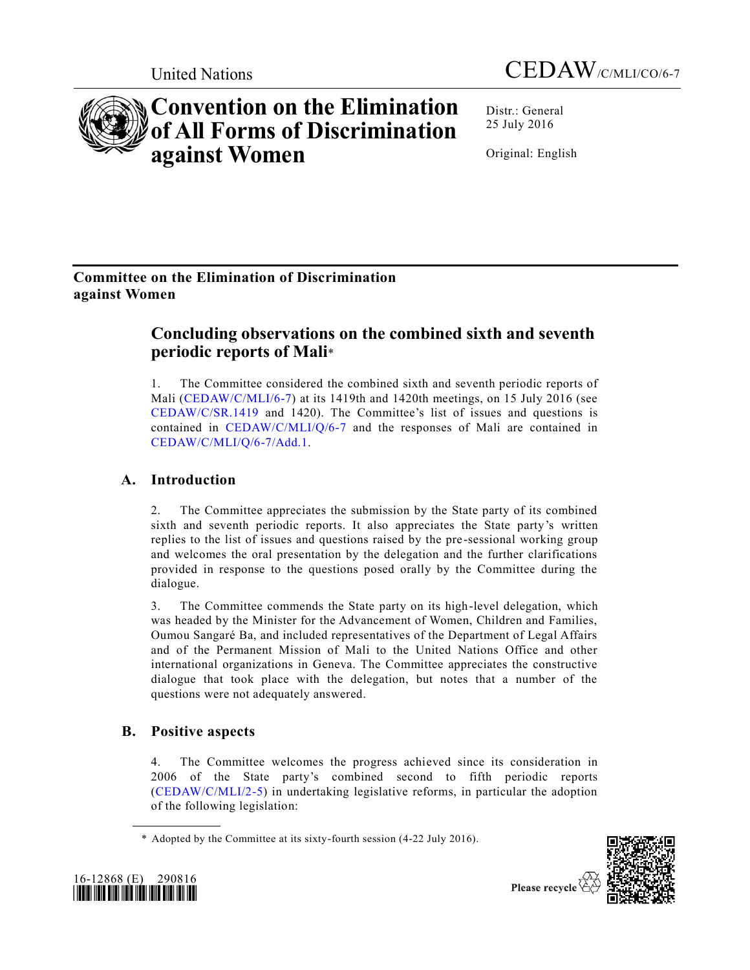



# **Convention on the Elimination of All Forms of Discrimination against Women**

Distr.: General 25 July 2016

Original: English

## **Committee on the Elimination of Discrimination against Women**

## **Concluding observations on the combined sixth and seventh periodic reports of Mali**\*

1. The Committee considered the combined sixth and seventh periodic reports of Mali [\(CEDAW/C/MLI/6-7\)](http://undocs.org/CEDAW/C/MLI/6) at its 1419th and 1420th meetings, on 15 July 2016 (see [CEDAW/C/SR.1419](http://undocs.org/CEDAW/C/SR.1419) and 1420). The Committee's list of issues and questions is contained in [CEDAW/C/MLI/Q/6-7](http://undocs.org/CEDAW/C/MLI/Q/6) and the responses of Mali are contained in [CEDAW/C/MLI/Q/6-7/Add.1.](http://undocs.org/CEDAW/C/MLI/Q/6-7/Add.1)

## **A. Introduction**

2. The Committee appreciates the submission by the State party of its combined sixth and seventh periodic reports. It also appreciates the State party's written replies to the list of issues and questions raised by the pre-sessional working group and welcomes the oral presentation by the delegation and the further clarifications provided in response to the questions posed orally by the Committee during the dialogue.

3. The Committee commends the State party on its high-level delegation, which was headed by the Minister for the Advancement of Women, Children and Families, Oumou Sangaré Ba, and included representatives of the Department of Legal Affairs and of the Permanent Mission of Mali to the United Nations Office and other international organizations in Geneva. The Committee appreciates the constructive dialogue that took place with the delegation, but notes that a number of the questions were not adequately answered.

## **B. Positive aspects**

4. The Committee welcomes the progress achieved since its consideration in 2006 of the State party's combined second to fifth periodic reports [\(CEDAW/C/MLI/2-5\)](http://undocs.org/CEDAW/C/MLI/2) in undertaking legislative reforms, in particular the adoption of the following legislation:

\* Adopted by the Committee at its sixty-fourth session (4-22 July 2016).



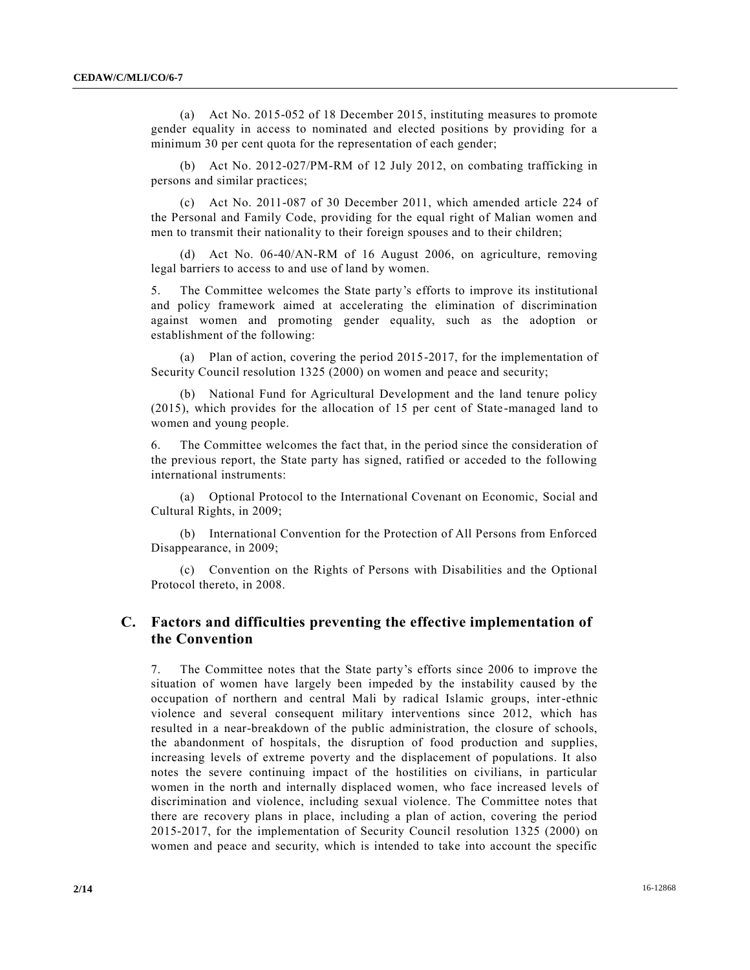(a) Act No. 2015-052 of 18 December 2015, instituting measures to promote gender equality in access to nominated and elected positions by providing for a minimum 30 per cent quota for the representation of each gender;

(b) Act No. 2012-027/PM-RM of 12 July 2012, on combating trafficking in persons and similar practices;

(c) Act No. 2011-087 of 30 December 2011, which amended article 224 of the Personal and Family Code, providing for the equal right of Malian women and men to transmit their nationality to their foreign spouses and to their children;

(d) Act No. 06-40/AN-RM of 16 August 2006, on agriculture, removing legal barriers to access to and use of land by women.

5. The Committee welcomes the State party's efforts to improve its institutional and policy framework aimed at accelerating the elimination of discrimination against women and promoting gender equality, such as the adoption or establishment of the following:

(a) Plan of action, covering the period 2015-2017, for the implementation of Security Council resolution 1325 (2000) on women and peace and security;

(b) National Fund for Agricultural Development and the land tenure policy (2015), which provides for the allocation of 15 per cent of State-managed land to women and young people.

6. The Committee welcomes the fact that, in the period since the consideration of the previous report, the State party has signed, ratified or acceded to the following international instruments:

(a) Optional Protocol to the International Covenant on Economic, Social and Cultural Rights, in 2009;

(b) International Convention for the Protection of All Persons from Enforced Disappearance, in 2009;

(c) Convention on the Rights of Persons with Disabilities and the Optional Protocol thereto, in 2008.

## **C. Factors and difficulties preventing the effective implementation of the Convention**

7. The Committee notes that the State party's efforts since 2006 to improve the situation of women have largely been impeded by the instability caused by the occupation of northern and central Mali by radical Islamic groups, inter-ethnic violence and several consequent military interventions since 2012, which has resulted in a near-breakdown of the public administration, the closure of schools, the abandonment of hospitals, the disruption of food production and supplies, increasing levels of extreme poverty and the displacement of populations. It also notes the severe continuing impact of the hostilities on civilians, in particular women in the north and internally displaced women, who face increased levels of discrimination and violence, including sexual violence. The Committee notes that there are recovery plans in place, including a plan of action, covering the period 2015-2017, for the implementation of Security Council resolution 1325 (2000) on women and peace and security, which is intended to take into account the specific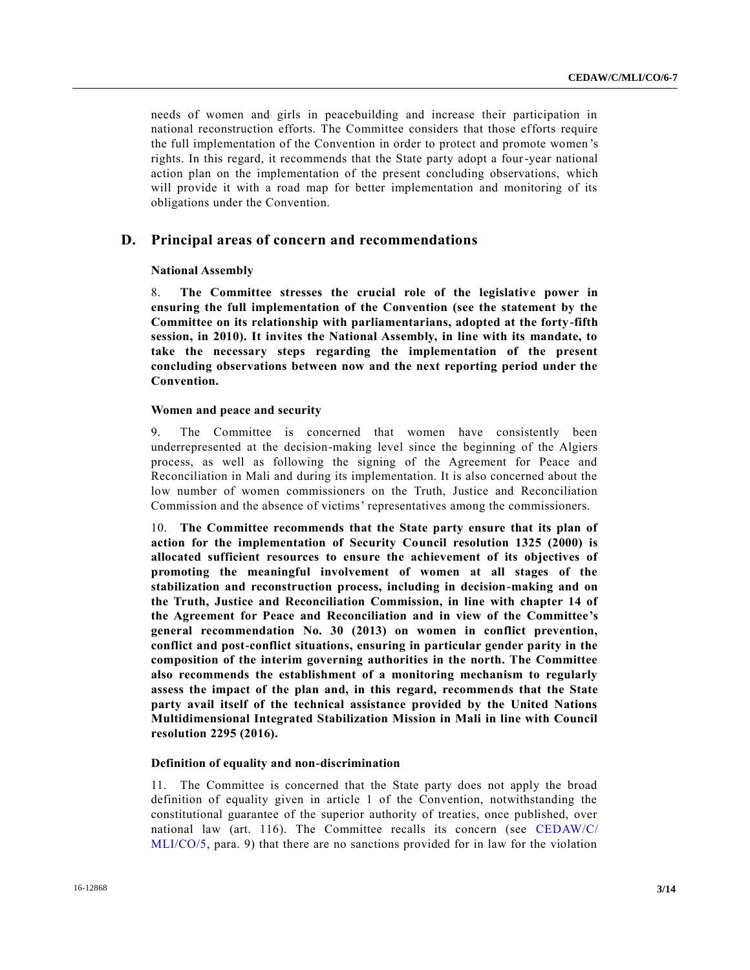needs of women and girls in peacebuilding and increase their participation in national reconstruction efforts. The Committee considers that those efforts require the full implementation of the Convention in order to protect and promote women 's rights. In this regard, it recommends that the State party adopt a four-year national action plan on the implementation of the present concluding observations, which will provide it with a road map for better implementation and monitoring of its obligations under the Convention.

## **D. Principal areas of concern and recommendations**

## **National Assembly**

8. **The Committee stresses the crucial role of the legislative power in ensuring the full implementation of the Convention (see the statement by the Committee on its relationship with parliamentarians, adopted at the forty-fifth session, in 2010). It invites the National Assembly, in line with its mandate, to take the necessary steps regarding the implementation of the present concluding observations between now and the next reporting period under the Convention.**

### **Women and peace and security**

9. The Committee is concerned that women have consistently been underrepresented at the decision-making level since the beginning of the Algiers process, as well as following the signing of the Agreement for Peace and Reconciliation in Mali and during its implementation. It is also concerned about the low number of women commissioners on the Truth, Justice and Reconciliation Commission and the absence of victims' representatives among the commissioners.

10. **The Committee recommends that the State party ensure that its plan of action for the implementation of Security Council resolution 1325 (2000) is allocated sufficient resources to ensure the achievement of its objectives of promoting the meaningful involvement of women at all stages of the stabilization and reconstruction process, including in decision-making and on the Truth, Justice and Reconciliation Commission, in line with chapter 14 of the Agreement for Peace and Reconciliation and in view of the Committee's general recommendation No. 30 (2013) on women in conflict prevention, conflict and post-conflict situations, ensuring in particular gender parity in the composition of the interim governing authorities in the north. The Committee also recommends the establishment of a monitoring mechanism to regularly assess the impact of the plan and, in this regard, recommends that the State party avail itself of the technical assistance provided by the United Nations Multidimensional Integrated Stabilization Mission in Mali in line with Council resolution 2295 (2016).**

## **Definition of equality and non-discrimination**

11. The Committee is concerned that the State party does not apply the broad definition of equality given in article 1 of the Convention, notwithstanding the constitutional guarantee of the superior authority of treaties, once published, over national law (art. 116). The Committee recalls its concern (see [CEDAW/C/](http://undocs.org/CEDAW/C/MLI/CO/5) [MLI/CO/5,](http://undocs.org/CEDAW/C/MLI/CO/5) para. 9) that there are no sanctions provided for in law for the violation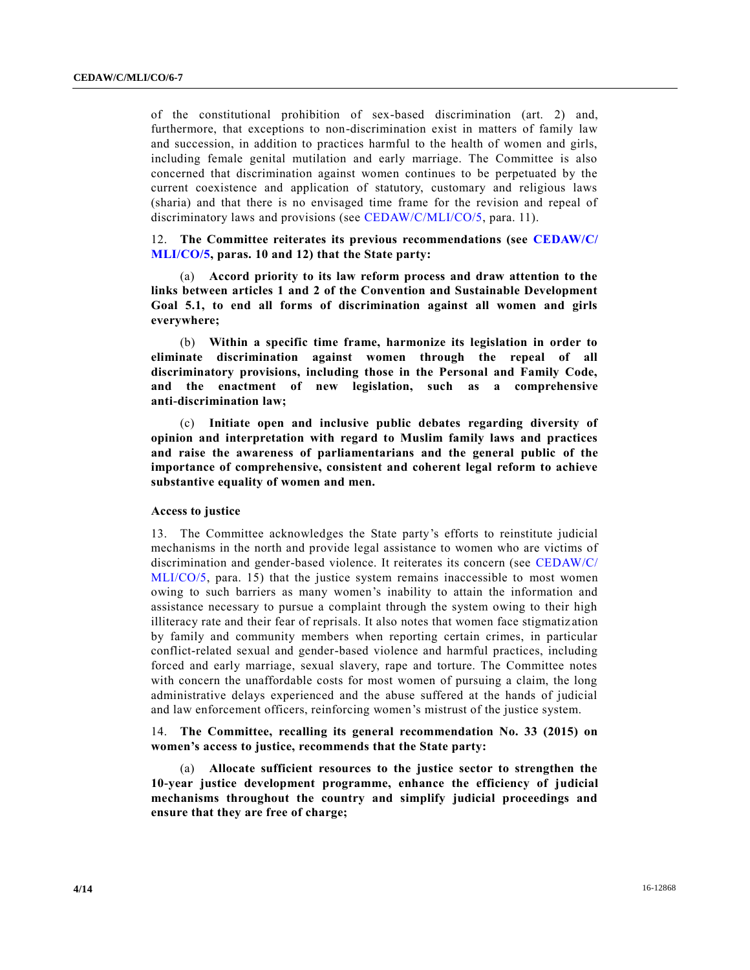of the constitutional prohibition of sex-based discrimination (art. 2) and, furthermore, that exceptions to non-discrimination exist in matters of family law and succession, in addition to practices harmful to the health of women and girls, including female genital mutilation and early marriage. The Committee is also concerned that discrimination against women continues to be perpetuated by the current coexistence and application of statutory, customary and religious laws (sharia) and that there is no envisaged time frame for the revision and repeal of discriminatory laws and provisions (see [CEDAW/C/MLI/CO/5,](http://undocs.org/CEDAW/C/MLI/CO/5) para. 11).

12. **The Committee reiterates its previous recommendations (see [CEDAW/C/](http://undocs.org/CEDAW/C/MLI/CO/5) [MLI/CO/5,](http://undocs.org/CEDAW/C/MLI/CO/5) paras. 10 and 12) that the State party:**

(a) **Accord priority to its law reform process and draw attention to the links between articles 1 and 2 of the Convention and Sustainable Development Goal 5.1, to end all forms of discrimination against all women and girls everywhere;**

(b) **Within a specific time frame, harmonize its legislation in order to eliminate discrimination against women through the repeal of all discriminatory provisions, including those in the Personal and Family Code, and the enactment of new legislation, such as a comprehensive anti-discrimination law;**

(c) **Initiate open and inclusive public debates regarding diversity of opinion and interpretation with regard to Muslim family laws and practices and raise the awareness of parliamentarians and the general public of the importance of comprehensive, consistent and coherent legal reform to achieve substantive equality of women and men.**

#### **Access to justice**

13. The Committee acknowledges the State party's efforts to reinstitute judicial mechanisms in the north and provide legal assistance to women who are victims of discrimination and gender-based violence. It reiterates its concern (see [CEDAW/C/](http://undocs.org/CEDAW/C/MLI/CO/5) [MLI/CO/5,](http://undocs.org/CEDAW/C/MLI/CO/5) para. 15) that the justice system remains inaccessible to most women owing to such barriers as many women's inability to attain the information and assistance necessary to pursue a complaint through the system owing to their high illiteracy rate and their fear of reprisals. It also notes that women face stigmatiz ation by family and community members when reporting certain crimes, in particular conflict-related sexual and gender-based violence and harmful practices, including forced and early marriage, sexual slavery, rape and torture. The Committee notes with concern the unaffordable costs for most women of pursuing a claim, the long administrative delays experienced and the abuse suffered at the hands of judicial and law enforcement officers, reinforcing women's mistrust of the justice system.

14. **The Committee, recalling its general recommendation No. 33 (2015) on women's access to justice, recommends that the State party:**

(a) **Allocate sufficient resources to the justice sector to strengthen the 10-year justice development programme, enhance the efficiency of judicial mechanisms throughout the country and simplify judicial proceedings and ensure that they are free of charge;**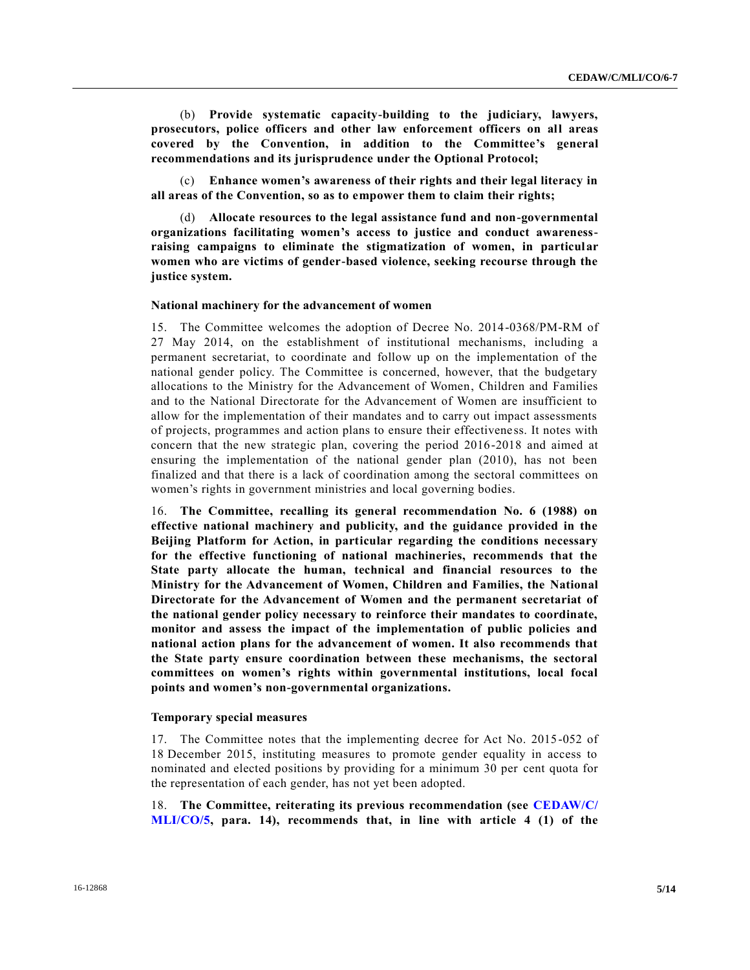(b) **Provide systematic capacity-building to the judiciary, lawyers, prosecutors, police officers and other law enforcement officers on all areas covered by the Convention, in addition to the Committee's general recommendations and its jurisprudence under the Optional Protocol;**

(c) **Enhance women's awareness of their rights and their legal literacy in all areas of the Convention, so as to empower them to claim their rights;** 

(d) **Allocate resources to the legal assistance fund and non-governmental organizations facilitating women's access to justice and conduct awarenessraising campaigns to eliminate the stigmatization of women, in particular women who are victims of gender-based violence, seeking recourse through the justice system.**

## **National machinery for the advancement of women**

15. The Committee welcomes the adoption of Decree No. 2014-0368/PM-RM of 27 May 2014, on the establishment of institutional mechanisms, including a permanent secretariat, to coordinate and follow up on the implementation of the national gender policy. The Committee is concerned, however, that the budgetary allocations to the Ministry for the Advancement of Women, Children and Families and to the National Directorate for the Advancement of Women are insufficient to allow for the implementation of their mandates and to carry out impact assessments of projects, programmes and action plans to ensure their effectivene ss. It notes with concern that the new strategic plan, covering the period 2016-2018 and aimed at ensuring the implementation of the national gender plan (2010), has not been finalized and that there is a lack of coordination among the sectoral committees on women's rights in government ministries and local governing bodies.

16. **The Committee, recalling its general recommendation No. 6 (1988) on effective national machinery and publicity, and the guidance provided in the Beijing Platform for Action, in particular regarding the conditions necessary for the effective functioning of national machineries, recommends that the State party allocate the human, technical and financial resources to the Ministry for the Advancement of Women, Children and Families, the National Directorate for the Advancement of Women and the permanent secretariat of the national gender policy necessary to reinforce their mandates to coordinate, monitor and assess the impact of the implementation of public policies and national action plans for the advancement of women. It also recommends that the State party ensure coordination between these mechanisms, the sectoral committees on women's rights within governmental institutions, local focal points and women's non-governmental organizations.**

#### **Temporary special measures**

17. The Committee notes that the implementing decree for Act No. 2015-052 of 18 December 2015, instituting measures to promote gender equality in access to nominated and elected positions by providing for a minimum 30 per cent quota for the representation of each gender, has not yet been adopted.

18. **The Committee, reiterating its previous recommendation (see [CEDAW/C/](http://undocs.org/CEDAW/C/MLI/CO/5) [MLI/CO/5,](http://undocs.org/CEDAW/C/MLI/CO/5) para. 14), recommends that, in line with article 4 (1) of the**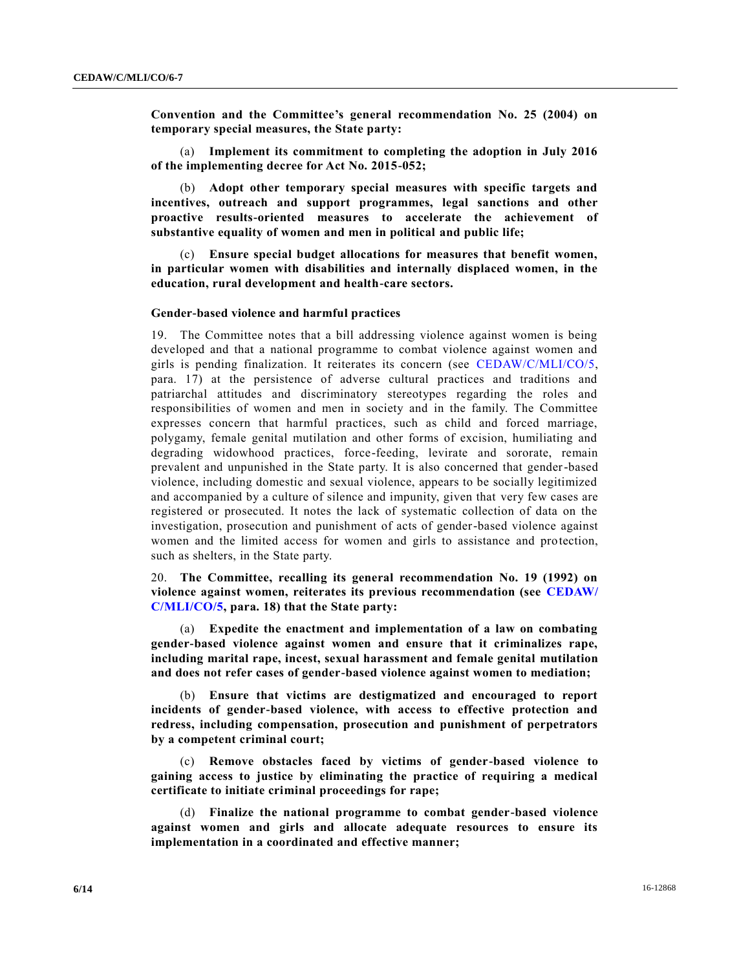**Convention and the Committee's general recommendation No. 25 (2004) on temporary special measures, the State party:**

(a) **Implement its commitment to completing the adoption in July 2016 of the implementing decree for Act No. 2015-052;**

(b) **Adopt other temporary special measures with specific targets and incentives, outreach and support programmes, legal sanctions and other proactive results-oriented measures to accelerate the achievement of substantive equality of women and men in political and public life;**

(c) **Ensure special budget allocations for measures that benefit women, in particular women with disabilities and internally displaced women, in the education, rural development and health-care sectors.**

#### **Gender-based violence and harmful practices**

19. The Committee notes that a bill addressing violence against women is being developed and that a national programme to combat violence against women and girls is pending finalization. It reiterates its concern (see [CEDAW/C/MLI/CO/5,](http://undocs.org/CEDAW/C/MLI/CO/5) para. 17) at the persistence of adverse cultural practices and traditions and patriarchal attitudes and discriminatory stereotypes regarding the roles and responsibilities of women and men in society and in the family. The Committee expresses concern that harmful practices, such as child and forced marriage, polygamy, female genital mutilation and other forms of excision, humiliating and degrading widowhood practices, force-feeding, levirate and sororate, remain prevalent and unpunished in the State party. It is also concerned that gender-based violence, including domestic and sexual violence, appears to be socially legitimized and accompanied by a culture of silence and impunity, given that very few cases are registered or prosecuted. It notes the lack of systematic collection of data on the investigation, prosecution and punishment of acts of gender-based violence against women and the limited access for women and girls to assistance and protection, such as shelters, in the State party.

20. **The Committee, recalling its general recommendation No. 19 (1992) on violence against women, reiterates its previous recommendation (see [CEDAW/](http://undocs.org/CEDAW/C/MLI/CO/5) [C/MLI/CO/5,](http://undocs.org/CEDAW/C/MLI/CO/5) para. 18) that the State party:**

(a) **Expedite the enactment and implementation of a law on combating gender-based violence against women and ensure that it criminalizes rape, including marital rape, incest, sexual harassment and female genital mutilation and does not refer cases of gender-based violence against women to mediation;**

(b) **Ensure that victims are destigmatized and encouraged to report incidents of gender-based violence, with access to effective protection and redress, including compensation, prosecution and punishment of perpetrators by a competent criminal court;**

(c) **Remove obstacles faced by victims of gender-based violence to gaining access to justice by eliminating the practice of requiring a medical certificate to initiate criminal proceedings for rape;**

(d) **Finalize the national programme to combat gender-based violence against women and girls and allocate adequate resources to ensure its implementation in a coordinated and effective manner;**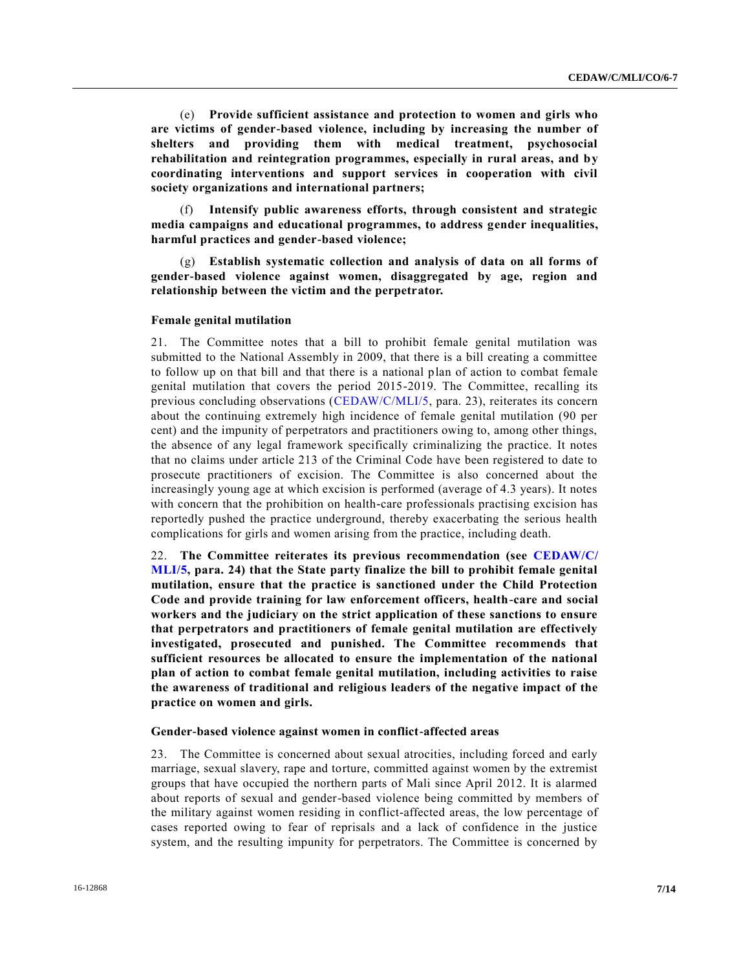(e) **Provide sufficient assistance and protection to women and girls who are victims of gender-based violence, including by increasing the number of shelters and providing them with medical treatment, psychosocial rehabilitation and reintegration programmes, especially in rural areas, and by coordinating interventions and support services in cooperation with civil society organizations and international partners;**

(f) **Intensify public awareness efforts, through consistent and strategic media campaigns and educational programmes, to address gender inequalities, harmful practices and gender-based violence;**

(g) **Establish systematic collection and analysis of data on all forms of gender-based violence against women, disaggregated by age, region and relationship between the victim and the perpetrator.**

#### **Female genital mutilation**

21. The Committee notes that a bill to prohibit female genital mutilation was submitted to the National Assembly in 2009, that there is a bill creating a committee to follow up on that bill and that there is a national plan of action to combat female genital mutilation that covers the period 2015-2019. The Committee, recalling its previous concluding observations [\(CEDAW/C/MLI/5,](http://undocs.org/CEDAW/C/MLI/5) para. 23), reiterates its concern about the continuing extremely high incidence of female genital mutilation (90 per cent) and the impunity of perpetrators and practitioners owing to, among other things, the absence of any legal framework specifically criminalizing the practice. It notes that no claims under article 213 of the Criminal Code have been registered to date to prosecute practitioners of excision. The Committee is also concerned about the increasingly young age at which excision is performed (average of 4.3 years). It notes with concern that the prohibition on health-care professionals practising excision has reportedly pushed the practice underground, thereby exacerbating the serious health complications for girls and women arising from the practice, including death.

22. **The Committee reiterates its previous recommendation (see [CEDAW/C/](http://undocs.org/CEDAW/C/MLI/5) [MLI/5,](http://undocs.org/CEDAW/C/MLI/5) para. 24) that the State party finalize the bill to prohibit female genital mutilation, ensure that the practice is sanctioned under the Child Protection Code and provide training for law enforcement officers, health-care and social workers and the judiciary on the strict application of these sanctions to ensure that perpetrators and practitioners of female genital mutilation are effectively investigated, prosecuted and punished. The Committee recommends that sufficient resources be allocated to ensure the implementation of the national plan of action to combat female genital mutilation, including activities to raise the awareness of traditional and religious leaders of the negative impact of the practice on women and girls.**

#### **Gender-based violence against women in conflict-affected areas**

23. The Committee is concerned about sexual atrocities, including forced and early marriage, sexual slavery, rape and torture, committed against women by the extremist groups that have occupied the northern parts of Mali since April 2012. It is alarmed about reports of sexual and gender-based violence being committed by members of the military against women residing in conflict-affected areas, the low percentage of cases reported owing to fear of reprisals and a lack of confidence in the justice system, and the resulting impunity for perpetrators. The Committee is concerned by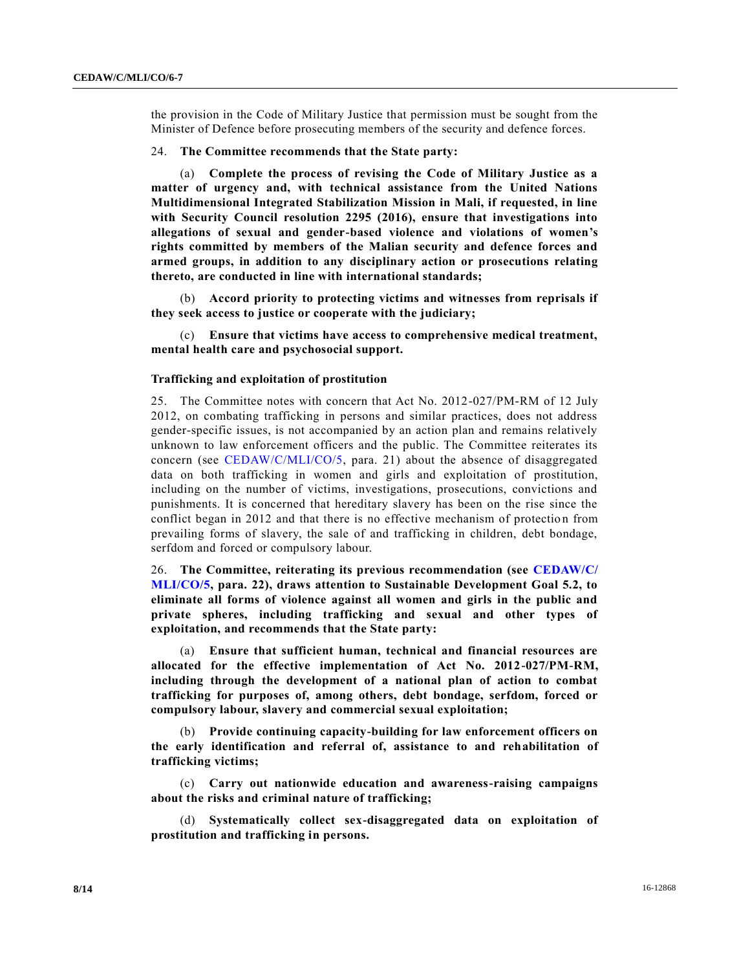the provision in the Code of Military Justice that permission must be sought from the Minister of Defence before prosecuting members of the security and defence forces.

#### 24. **The Committee recommends that the State party:**

(a) **Complete the process of revising the Code of Military Justice as a matter of urgency and, with technical assistance from the United Nations Multidimensional Integrated Stabilization Mission in Mali, if requested, in line with Security Council resolution 2295 (2016), ensure that investigations into allegations of sexual and gender-based violence and violations of women's rights committed by members of the Malian security and defence forces and armed groups, in addition to any disciplinary action or prosecutions relating thereto, are conducted in line with international standards;**

(b) **Accord priority to protecting victims and witnesses from reprisals if they seek access to justice or cooperate with the judiciary;**

(c) **Ensure that victims have access to comprehensive medical treatment, mental health care and psychosocial support.**

## **Trafficking and exploitation of prostitution**

25. The Committee notes with concern that Act No. 2012-027/PM-RM of 12 July 2012, on combating trafficking in persons and similar practices, does not address gender-specific issues, is not accompanied by an action plan and remains relatively unknown to law enforcement officers and the public. The Committee reiterates its concern (see [CEDAW/C/MLI/CO/5,](http://undocs.org/CEDAW/C/MLI/CO/5) para. 21) about the absence of disaggregated data on both trafficking in women and girls and exploitation of prostitution, including on the number of victims, investigations, prosecutions, convictions and punishments. It is concerned that hereditary slavery has been on the rise since the conflict began in 2012 and that there is no effective mechanism of protection from prevailing forms of slavery, the sale of and trafficking in children, debt bondage, serfdom and forced or compulsory labour.

26. **The Committee, reiterating its previous recommendation (see [CEDAW/C/](http://undocs.org/CEDAW/C/MLI/CO/5) [MLI/CO/5,](http://undocs.org/CEDAW/C/MLI/CO/5) para. 22), draws attention to Sustainable Development Goal 5.2, to eliminate all forms of violence against all women and girls in the public and private spheres, including trafficking and sexual and other types of exploitation, and recommends that the State party:**

(a) **Ensure that sufficient human, technical and financial resources are allocated for the effective implementation of Act No. 2012-027/PM-RM, including through the development of a national plan of action to combat trafficking for purposes of, among others, debt bondage, serfdom, forced or compulsory labour, slavery and commercial sexual exploitation;**

(b) **Provide continuing capacity-building for law enforcement officers on the early identification and referral of, assistance to and rehabilitation of trafficking victims;**

(c) **Carry out nationwide education and awareness-raising campaigns about the risks and criminal nature of trafficking;**

(d) **Systematically collect sex-disaggregated data on exploitation of prostitution and trafficking in persons.**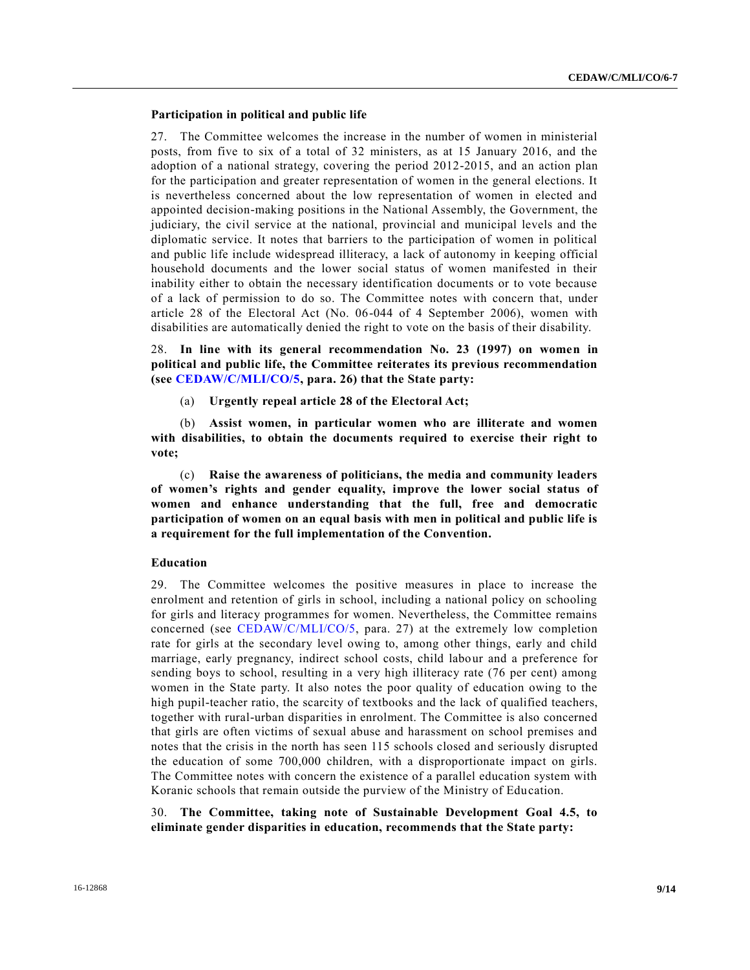## **Participation in political and public life**

27. The Committee welcomes the increase in the number of women in ministerial posts, from five to six of a total of 32 ministers, as at 15 January 2016, and the adoption of a national strategy, covering the period 2012-2015, and an action plan for the participation and greater representation of women in the general elections. It is nevertheless concerned about the low representation of women in elected and appointed decision-making positions in the National Assembly, the Government, the judiciary, the civil service at the national, provincial and municipal levels and the diplomatic service. It notes that barriers to the participation of women in political and public life include widespread illiteracy, a lack of autonomy in keeping official household documents and the lower social status of women manifested in their inability either to obtain the necessary identification documents or to vote because of a lack of permission to do so. The Committee notes with concern that, under article 28 of the Electoral Act (No. 06-044 of 4 September 2006), women with disabilities are automatically denied the right to vote on the basis of their disability.

28. **In line with its general recommendation No. 23 (1997) on women in political and public life, the Committee reiterates its previous recommendation (see [CEDAW/C/MLI/CO/5,](http://undocs.org/CEDAW/C/MLI/CO/5) para. 26) that the State party:**

(a) **Urgently repeal article 28 of the Electoral Act;**

(b) **Assist women, in particular women who are illiterate and women with disabilities, to obtain the documents required to exercise their right to vote;**

(c) **Raise the awareness of politicians, the media and community leaders of women's rights and gender equality, improve the lower social status of women and enhance understanding that the full, free and democratic participation of women on an equal basis with men in political and public life is a requirement for the full implementation of the Convention.**

#### **Education**

29. The Committee welcomes the positive measures in place to increase the enrolment and retention of girls in school, including a national policy on schooling for girls and literacy programmes for women. Nevertheless, the Committee remains concerned (see [CEDAW/C/MLI/CO/5,](http://undocs.org/CEDAW/C/MLI/CO/5) para. 27) at the extremely low completion rate for girls at the secondary level owing to, among other things, early and child marriage, early pregnancy, indirect school costs, child labour and a preference for sending boys to school, resulting in a very high illiteracy rate (76 per cent) among women in the State party. It also notes the poor quality of education owing to the high pupil-teacher ratio, the scarcity of textbooks and the lack of qualified teachers, together with rural-urban disparities in enrolment. The Committee is also concerned that girls are often victims of sexual abuse and harassment on school premises and notes that the crisis in the north has seen 115 schools closed and seriously disrupted the education of some 700,000 children, with a disproportionate impact on girls. The Committee notes with concern the existence of a parallel education system with Koranic schools that remain outside the purview of the Ministry of Education.

30. **The Committee, taking note of Sustainable Development Goal 4.5, to eliminate gender disparities in education, recommends that the State party:**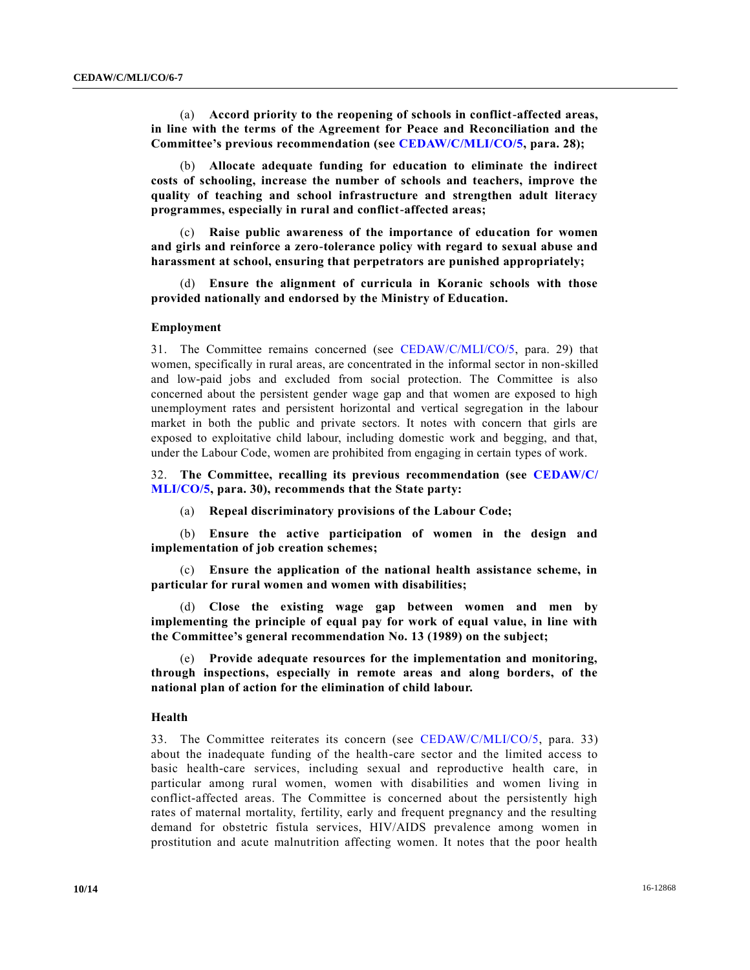(a) **Accord priority to the reopening of schools in conflict-affected areas, in line with the terms of the Agreement for Peace and Reconciliation and the Committee's previous recommendation (see [CEDAW/C/MLI/CO/5,](http://undocs.org/CEDAW/C/MLI/CO/5) para. 28);**

(b) **Allocate adequate funding for education to eliminate the indirect costs of schooling, increase the number of schools and teachers, improve the quality of teaching and school infrastructure and strengthen adult literacy programmes, especially in rural and conflict-affected areas;**

(c) **Raise public awareness of the importance of education for women and girls and reinforce a zero-tolerance policy with regard to sexual abuse and harassment at school, ensuring that perpetrators are punished appropriately;**

(d) **Ensure the alignment of curricula in Koranic schools with those provided nationally and endorsed by the Ministry of Education.**

#### **Employment**

31. The Committee remains concerned (see [CEDAW/C/MLI/CO/5,](http://undocs.org/CEDAW/C/MLI/CO/5) para. 29) that women, specifically in rural areas, are concentrated in the informal sector in non-skilled and low-paid jobs and excluded from social protection. The Committee is also concerned about the persistent gender wage gap and that women are exposed to high unemployment rates and persistent horizontal and vertical segregation in the labour market in both the public and private sectors. It notes with concern that girls are exposed to exploitative child labour, including domestic work and begging, and that, under the Labour Code, women are prohibited from engaging in certain types of work.

32. **The Committee, recalling its previous recommendation (see [CEDAW/C/](http://undocs.org/CEDAW/C/MLI/CO/5) [MLI/CO/5,](http://undocs.org/CEDAW/C/MLI/CO/5) para. 30), recommends that the State party:**

(a) **Repeal discriminatory provisions of the Labour Code;**

(b) **Ensure the active participation of women in the design and implementation of job creation schemes;**

(c) **Ensure the application of the national health assistance scheme, in particular for rural women and women with disabilities;**

(d) **Close the existing wage gap between women and men by implementing the principle of equal pay for work of equal value, in line with the Committee's general recommendation No. 13 (1989) on the subject;**

(e) **Provide adequate resources for the implementation and monitoring, through inspections, especially in remote areas and along borders, of the national plan of action for the elimination of child labour.**

#### **Health**

33. The Committee reiterates its concern (see [CEDAW/C/MLI/CO/5,](http://undocs.org/CEDAW/C/MLI/CO/5) para. 33) about the inadequate funding of the health-care sector and the limited access to basic health-care services, including sexual and reproductive health care, in particular among rural women, women with disabilities and women living in conflict-affected areas. The Committee is concerned about the persistently high rates of maternal mortality, fertility, early and frequent pregnancy and the resulting demand for obstetric fistula services, HIV/AIDS prevalence among women in prostitution and acute malnutrition affecting women. It notes that the poor health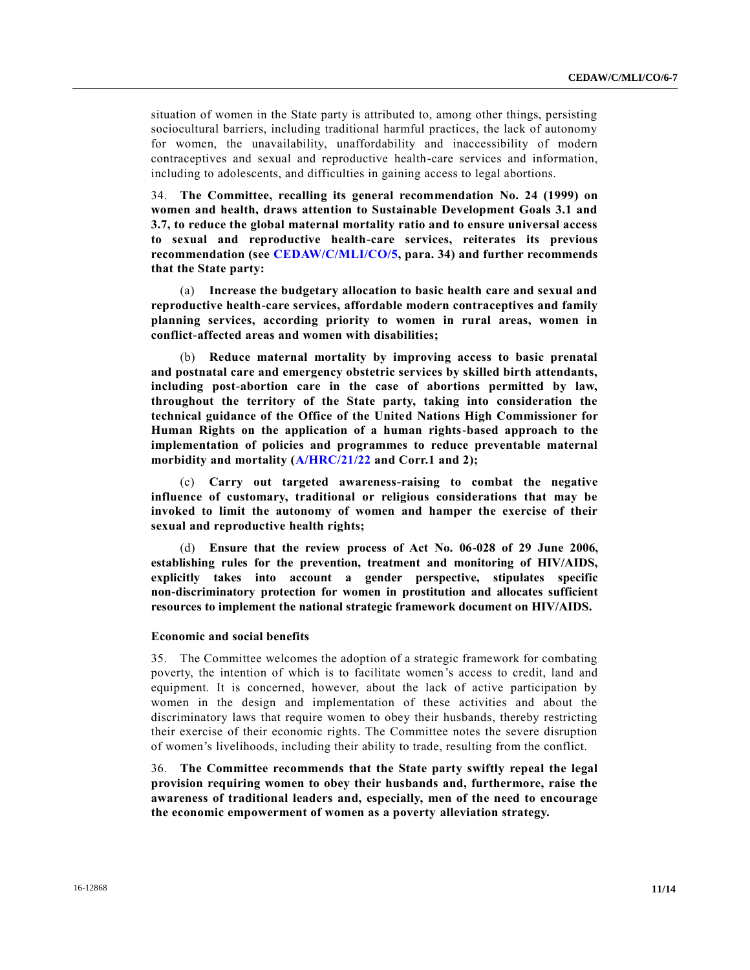situation of women in the State party is attributed to, among other things, persisting sociocultural barriers, including traditional harmful practices, the lack of autonomy for women, the unavailability, unaffordability and inaccessibility of modern contraceptives and sexual and reproductive health-care services and information, including to adolescents, and difficulties in gaining access to legal abortions.

34. **The Committee, recalling its general recommendation No. 24 (1999) on women and health, draws attention to Sustainable Development Goals 3.1 and 3.7, to reduce the global maternal mortality ratio and to ensure universal access to sexual and reproductive health-care services, reiterates its previous recommendation (see [CEDAW/C/MLI/CO/5,](http://undocs.org/CEDAW/C/MLI/CO/5) para. 34) and further recommends that the State party:** 

(a) **Increase the budgetary allocation to basic health care and sexual and reproductive health-care services, affordable modern contraceptives and family planning services, according priority to women in rural areas, women in conflict-affected areas and women with disabilities;**

(b) **Reduce maternal mortality by improving access to basic prenatal and postnatal care and emergency obstetric services by skilled birth attendants, including post-abortion care in the case of abortions permitted by law, throughout the territory of the State party, taking into consideration the technical guidance of the Office of the United Nations High Commissioner for Human Rights on the application of a human rights-based approach to the implementation of policies and programmes to reduce preventable maternal morbidity and mortality [\(A/HRC/21/22](http://undocs.org/A/HRC/21/22) and Corr.1 and 2);**

(c) **Carry out targeted awareness-raising to combat the negative influence of customary, traditional or religious considerations that may be invoked to limit the autonomy of women and hamper the exercise of their sexual and reproductive health rights;**

(d) **Ensure that the review process of Act No. 06-028 of 29 June 2006, establishing rules for the prevention, treatment and monitoring of HIV/AIDS, explicitly takes into account a gender perspective, stipulates specific non-discriminatory protection for women in prostitution and allocates sufficient resources to implement the national strategic framework document on HIV/AIDS.**

#### **Economic and social benefits**

35. The Committee welcomes the adoption of a strategic framework for combating poverty, the intention of which is to facilitate women's access to credit, land and equipment. It is concerned, however, about the lack of active participation by women in the design and implementation of these activities and about the discriminatory laws that require women to obey their husbands, thereby restricting their exercise of their economic rights. The Committee notes the severe disruption of women's livelihoods, including their ability to trade, resulting from the conflict.

36. **The Committee recommends that the State party swiftly repeal the legal provision requiring women to obey their husbands and, furthermore, raise the awareness of traditional leaders and, especially, men of the need to encourage the economic empowerment of women as a poverty alleviation strategy.**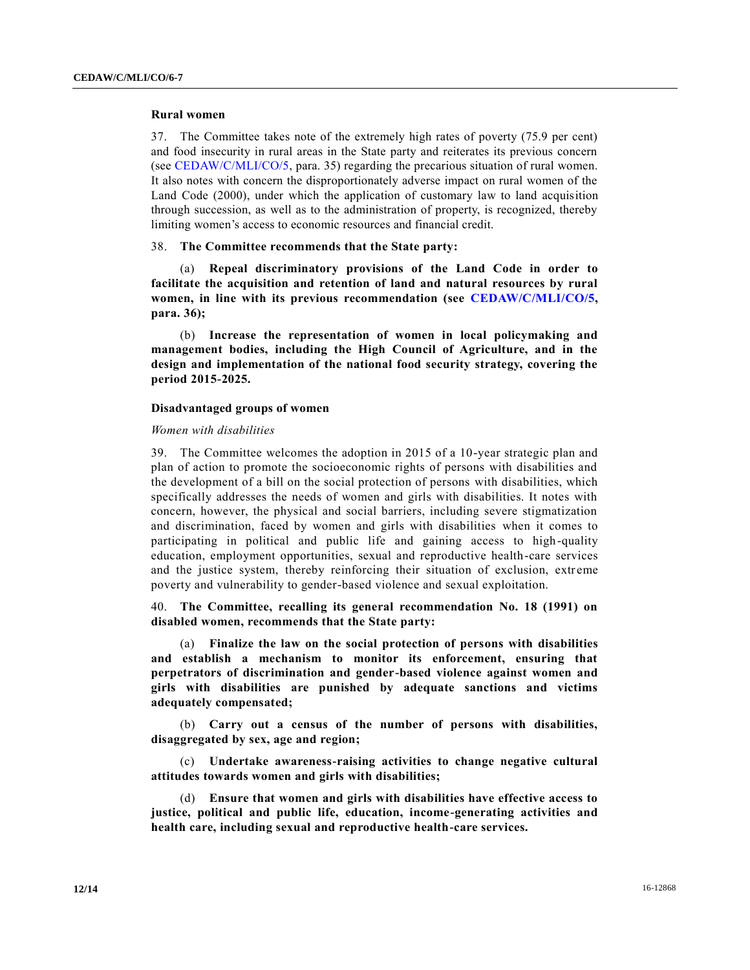## **Rural women**

37. The Committee takes note of the extremely high rates of poverty (75.9 per cent) and food insecurity in rural areas in the State party and reiterates its previous concern (see [CEDAW/C/MLI/CO/5,](http://undocs.org/CEDAW/C/MLI/CO/5) para. 35) regarding the precarious situation of rural women. It also notes with concern the disproportionately adverse impact on rural women of the Land Code (2000), under which the application of customary law to land acquisition through succession, as well as to the administration of property, is recognized, thereby limiting women's access to economic resources and financial credit.

## 38. **The Committee recommends that the State party:**

(a) **Repeal discriminatory provisions of the Land Code in order to facilitate the acquisition and retention of land and natural resources by rural women, in line with its previous recommendation (see [CEDAW/C/MLI/CO/5,](http://undocs.org/CEDAW/C/MLI/CO/5) para. 36);**

(b) **Increase the representation of women in local policymaking and management bodies, including the High Council of Agriculture, and in the design and implementation of the national food security strategy, covering the period 2015-2025.**

## **Disadvantaged groups of women**

## *Women with disabilities*

39. The Committee welcomes the adoption in 2015 of a 10-year strategic plan and plan of action to promote the socioeconomic rights of persons with disabilities and the development of a bill on the social protection of persons with disabilities, which specifically addresses the needs of women and girls with disabilities. It notes with concern, however, the physical and social barriers, including severe stigmatization and discrimination, faced by women and girls with disabilities when it comes to participating in political and public life and gaining access to high-quality education, employment opportunities, sexual and reproductive health-care services and the justice system, thereby reinforcing their situation of exclusion, extreme poverty and vulnerability to gender-based violence and sexual exploitation.

40. **The Committee, recalling its general recommendation No. 18 (1991) on disabled women, recommends that the State party:**

(a) **Finalize the law on the social protection of persons with disabilities and establish a mechanism to monitor its enforcement, ensuring that perpetrators of discrimination and gender-based violence against women and girls with disabilities are punished by adequate sanctions and victims adequately compensated;**

(b) **Carry out a census of the number of persons with disabilities, disaggregated by sex, age and region;**

(c) **Undertake awareness-raising activities to change negative cultural attitudes towards women and girls with disabilities;**

(d) **Ensure that women and girls with disabilities have effective access to justice, political and public life, education, income-generating activities and health care, including sexual and reproductive health-care services.**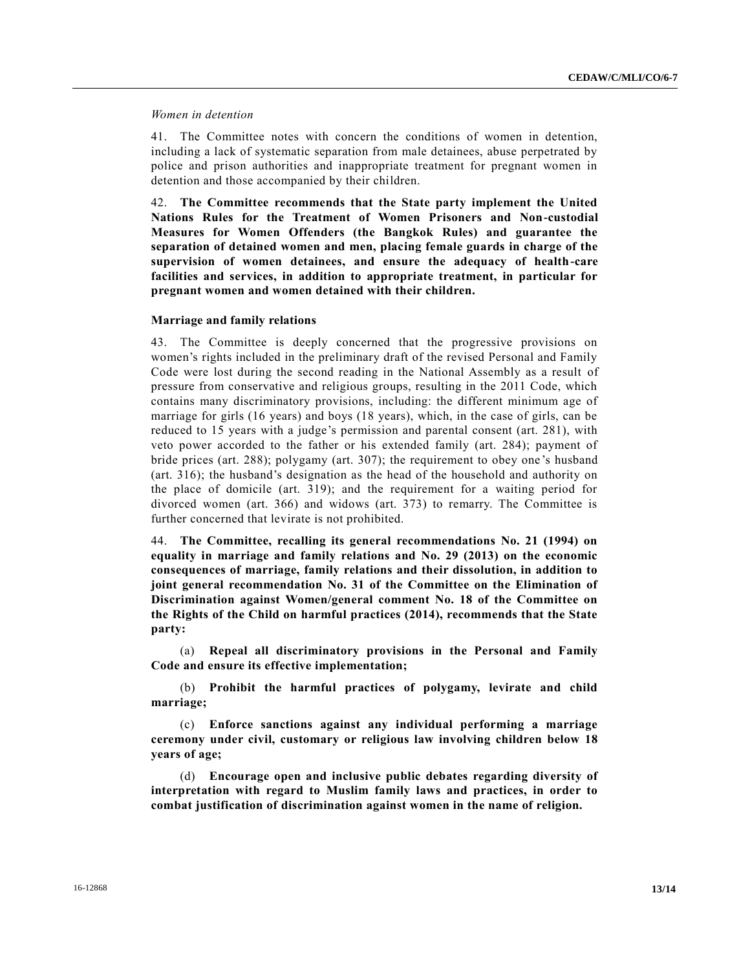## *Women in detention*

41. The Committee notes with concern the conditions of women in detention, including a lack of systematic separation from male detainees, abuse perpetrated by police and prison authorities and inappropriate treatment for pregnant women in detention and those accompanied by their children.

42. **The Committee recommends that the State party implement the United Nations Rules for the Treatment of Women Prisoners and Non-custodial Measures for Women Offenders (the Bangkok Rules) and guarantee the separation of detained women and men, placing female guards in charge of the supervision of women detainees, and ensure the adequacy of health-care facilities and services, in addition to appropriate treatment, in particular for pregnant women and women detained with their children.**

## **Marriage and family relations**

43. The Committee is deeply concerned that the progressive provisions on women's rights included in the preliminary draft of the revised Personal and Family Code were lost during the second reading in the National Assembly as a result of pressure from conservative and religious groups, resulting in the 2011 Code, which contains many discriminatory provisions, including: the different minimum age of marriage for girls (16 years) and boys (18 years), which, in the case of girls, can be reduced to 15 years with a judge's permission and parental consent (art. 281), with veto power accorded to the father or his extended family (art. 284); payment of bride prices (art. 288); polygamy (art. 307); the requirement to obey one 's husband (art. 316); the husband's designation as the head of the household and authority on the place of domicile (art. 319); and the requirement for a waiting period for divorced women (art. 366) and widows (art. 373) to remarry. The Committee is further concerned that levirate is not prohibited.

44. **The Committee, recalling its general recommendations No. 21 (1994) on equality in marriage and family relations and No. 29 (2013) on the economic consequences of marriage, family relations and their dissolution, in addition to joint general recommendation No. 31 of the Committee on the Elimination of Discrimination against Women/general comment No. 18 of the Committee on the Rights of the Child on harmful practices (2014), recommends that the State party:**

(a) **Repeal all discriminatory provisions in the Personal and Family Code and ensure its effective implementation;**

(b) **Prohibit the harmful practices of polygamy, levirate and child marriage;**

(c) **Enforce sanctions against any individual performing a marriage ceremony under civil, customary or religious law involving children below 18 years of age;**

(d) **Encourage open and inclusive public debates regarding diversity of interpretation with regard to Muslim family laws and practices, in order to combat justification of discrimination against women in the name of religion.**